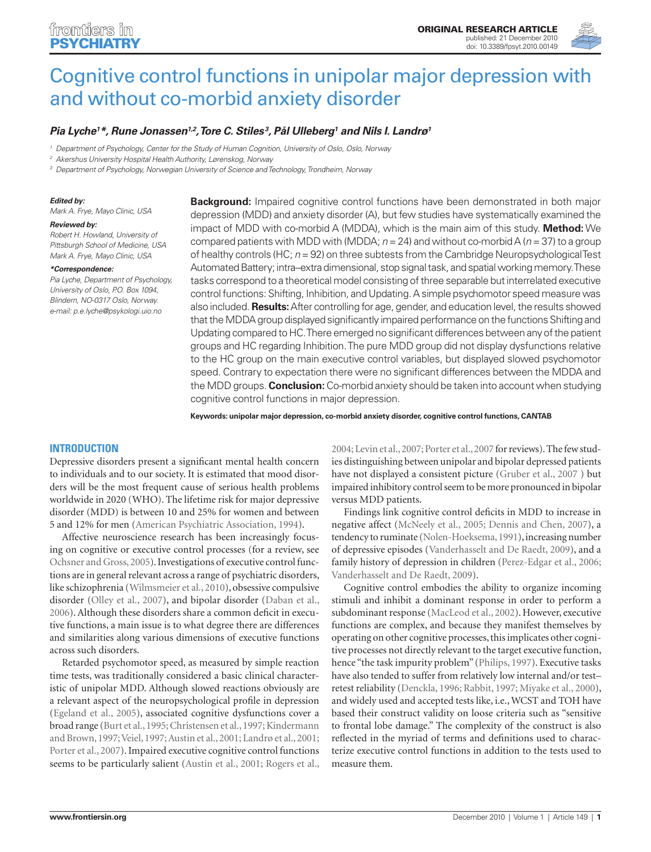

# Cognitive control functions in unipolar major depression with and without co-morbid anxiety disorder

## *Pia Lyche1 \*, Rune Jonassen1,2, Tore C. Stiles <sup>3</sup> , Pål Ulleberg1 and Nils I. Landrø1*

*<sup>1</sup> Department of Psychology, Center for the Study of Human Cognition, University of Oslo, Oslo, Norway*

*<sup>2</sup> Akershus University Hospital Health Authority, Lørenskog, Norway*

*<sup>3</sup> Department of Psychology, Norwegian University of Science and Technology, Trondheim, Norway*

#### *Edited by:*

*Mark A. Frye, Mayo Clinic, USA*

#### *Reviewed by:*

*Robert H. Howland, University of Pittsburgh School of Medicine, USA Mark A. Frye, Mayo Clinic, USA*

#### *\*Correspondence:*

*Pia Lyche, Department of Psychology, University of Oslo, P.O. Box 1094, Blindern, NO-0317 Oslo, Norway. e-mail: p.e.lyche@psykologi.uio.no*

**Background:** Impaired cognitive control functions have been demonstrated in both major depression (MDD) and anxiety disorder (A), but few studies have systematically examined the impact of MDD with co-morbid A (MDDA), which is the main aim of this study. **Method:** We compared patients with MDD with (MDDA; *n* =24) and without co-morbid A (*n* =37) to a group of healthy controls (HC; *n*= 92) on three subtests from the Cambridge Neuropsychological Test Automated Battery; intra–extra dimensional, stop signal task, and spatial working memory. These tasks correspond to a theoretical model consisting of three separable but interrelated executive control functions: Shifting, Inhibition, and Updating. A simple psychomotor speed measure was also included. **Results:** After controlling for age, gender, and education level, the results showed that the MDDA group displayed significantly impaired performance on the functions Shifting and Updating compared to HC. There emerged no significant differences between any of the patient groups and HC regarding Inhibition. The pure MDD group did not display dysfunctions relative to the HC group on the main executive control variables, but displayed slowed psychomotor speed. Contrary to expectation there were no significant differences between the MDDA and the MDD groups. **Conclusion:** Co-morbid anxiety should be taken into account when studying cognitive control functions in major depression.

**Keywords: unipolar major depression, co-morbid anxiety disorder, cognitive control functions, CANTAB**

#### **Introduction**

Depressive disorders present a significant mental health concern to individuals and to our society. It is estimated that mood disorders will be the most frequent cause of serious health problems worldwide in 2020 (WHO). The lifetime risk for major depressive disorder (MDD) is between 10 and 25% for women and between 5 and 12% for men (American Psychiatric Association, 1994).

Affective neuroscience research has been increasingly focusing on cognitive or executive control processes (for a review, see Ochsner and Gross, 2005). Investigations of executive control functions are in general relevant across a range of psychiatric disorders, like schizophrenia (Wilmsmeier et al., 2010), obsessive compulsive disorder (Olley et al., 2007), and bipolar disorder (Daban et al., 2006). Although these disorders share a common deficit in executive functions, a main issue is to what degree there are differences and similarities along various dimensions of executive functions across such disorders.

Retarded psychomotor speed, as measured by simple reaction time tests, was traditionally considered a basic clinical characteristic of unipolar MDD. Although slowed reactions obviously are a relevant aspect of the neuropsychological profile in depression (Egeland et al., 2005), associated cognitive dysfunctions cover a broad range (Burt et al., 1995; Christensen et al., 1997; Kindermann and Brown, 1997; Veiel, 1997; Austin et al., 2001; Landrø et al., 2001; Porter et al., 2007). Impaired executive cognitive control functions seems to be particularly salient (Austin et al., 2001; Rogers et al.,

2004; Levin et al., 2007; Porter et al., 2007 for reviews). The few studies distinguishing between unipolar and bipolar depressed patients have not displayed a consistent picture (Gruber et al., 2007 ) but impaired inhibitory control seem to be more pronounced in bipolar versus MDD patients.

Findings link cognitive control deficits in MDD to increase in negative affect (McNeely et al., 2005; Dennis and Chen, 2007), a tendency to ruminate (Nolen-Hoeksema, 1991), increasing number of depressive episodes (Vanderhasselt and De Raedt, 2009), and a family history of depression in children (Perez-Edgar et al., 2006; Vanderhasselt and De Raedt, 2009).

Cognitive control embodies the ability to organize incoming stimuli and inhibit a dominant response in order to perform a subdominant response (MacLeod et al., 2002). However, executive functions are complex, and because they manifest themselves by operating on other cognitive processes, this implicates other cognitive processes not directly relevant to the target executive function, hence "the task impurity problem" (Philips, 1997). Executive tasks have also tended to suffer from relatively low internal and/or test– retest reliability (Denckla, 1996; Rabbit, 1997; Miyake et al., 2000), and widely used and accepted tests like, i.e., WCST and TOH have based their construct validity on loose criteria such as "sensitive to frontal lobe damage." The complexity of the construct is also reflected in the myriad of terms and definitions used to characterize executive control functions in addition to the tests used to measure them.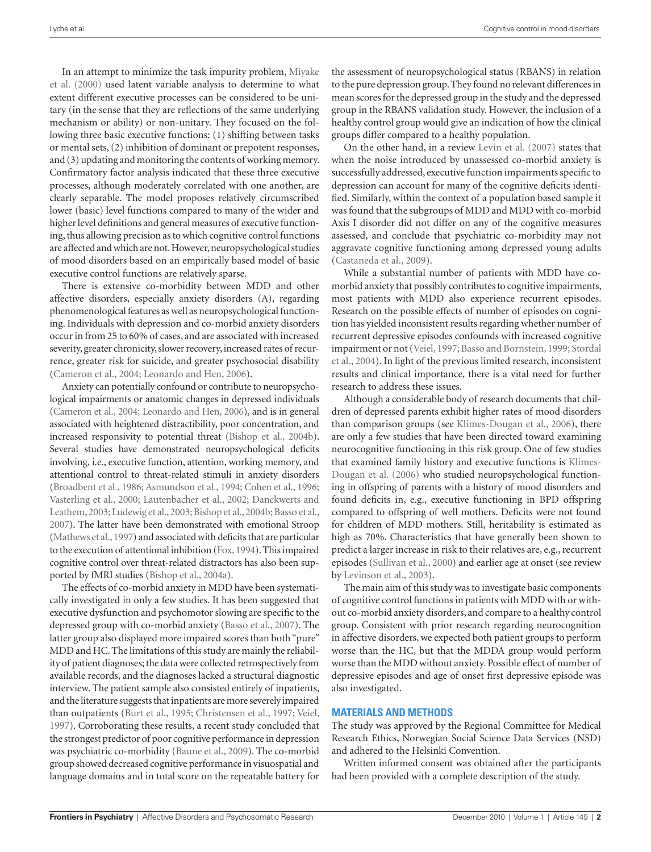In an attempt to minimize the task impurity problem, Miyake et al. (2000) used latent variable analysis to determine to what extent different executive processes can be considered to be unitary (in the sense that they are reflections of the same underlying mechanism or ability) or non-unitary. They focused on the following three basic executive functions: (1) shifting between tasks or mental sets, (2) inhibition of dominant or prepotent responses, and (3) updating and monitoring the contents of working memory. Confirmatory factor analysis indicated that these three executive processes, although moderately correlated with one another, are clearly separable. The model proposes relatively circumscribed lower (basic) level functions compared to many of the wider and higher level definitions and general measures of executive functioning, thus allowing precision as to which cognitive control functions are affected and which are not. However, neuropsychological studies of mood disorders based on an empirically based model of basic executive control functions are relatively sparse.

There is extensive co-morbidity between MDD and other affective disorders, especially anxiety disorders (A), regarding phenomenological features as well as neuropsychological functioning. Individuals with depression and co-morbid anxiety disorders occur in from 25 to 60% of cases, and are associated with increased severity, greater chronicity, slower recovery, increased rates of recurrence, greater risk for suicide, and greater psychosocial disability (Cameron et al., 2004; Leonardo and Hen, 2006).

Anxiety can potentially confound or contribute to neuropsychological impairments or anatomic changes in depressed individuals (Cameron et al., 2004; Leonardo and Hen, 2006), and is in general associated with heightened distractibility, poor concentration, and increased responsivity to potential threat (Bishop et al., 2004b). Several studies have demonstrated neuropsychological deficits involving, i.e., executive function, attention, working memory, and attentional control to threat-related stimuli in anxiety disorders (Broadbent et al., 1986; Asmundson et al., 1994; Cohen et al., 1996; Vasterling et al., 2000; Lautenbacher et al., 2002; Danckwerts and Leathem, 2003; Ludewig et al., 2003; Bishop et al., 2004b; Basso et al., 2007). The latter have been demonstrated with emotional Stroop (Mathews et al., 1997) and associated with deficits that are particular to the execution of attentional inhibition (Fox, 1994). This impaired cognitive control over threat-related distractors has also been supported by fMRI studies (Bishop et al., 2004a).

The effects of co-morbid anxiety in MDD have been systematically investigated in only a few studies. It has been suggested that executive dysfunction and psychomotor slowing are specific to the depressed group with co-morbid anxiety (Basso et al., 2007). The latter group also displayed more impaired scores than both "pure" MDD and HC. The limitations of this study are mainly the reliability of patient diagnoses; the data were collected retrospectively from available records, and the diagnoses lacked a structural diagnostic interview. The patient sample also consisted entirely of inpatients, and the literature suggests that inpatients are more severely impaired than outpatients (Burt et al., 1995; Christensen et al., 1997; Veiel, 1997). Corroborating these results, a recent study concluded that the strongest predictor of poor cognitive performance in depression was psychiatric co-morbidity (Baune et al., 2009). The co-morbid group showed decreased cognitive performance in visuospatial and language domains and in total score on the repeatable battery for

the assessment of neuropsychological status (RBANS) in relation to the pure depression group. They found no relevant differences in mean scores for the depressed group in the study and the depressed group in the RBANS validation study. However, the inclusion of a healthy control group would give an indication of how the clinical groups differ compared to a healthy population.

On the other hand, in a review Levin et al. (2007) states that when the noise introduced by unassessed co-morbid anxiety is successfully addressed, executive function impairments specific to depression can account for many of the cognitive deficits identified. Similarly, within the context of a population based sample it was found that the subgroups of MDD and MDD with co-morbid Axis I disorder did not differ on any of the cognitive measures assessed, and conclude that psychiatric co-morbidity may not aggravate cognitive functioning among depressed young adults (Castaneda et al., 2009).

While a substantial number of patients with MDD have comorbid anxiety that possibly contributes to cognitive impairments, most patients with MDD also experience recurrent episodes. Research on the possible effects of number of episodes on cognition has yielded inconsistent results regarding whether number of recurrent depressive episodes confounds with increased cognitive impairment or not (Veiel, 1997; Basso and Bornstein, 1999; Stordal et al., 2004). In light of the previous limited research, inconsistent results and clinical importance, there is a vital need for further research to address these issues.

Although a considerable body of research documents that children of depressed parents exhibit higher rates of mood disorders than comparison groups (see Klimes-Dougan et al., 2006), there are only a few studies that have been directed toward examining neurocognitive functioning in this risk group. One of few studies that examined family history and executive functions is Klimes-Dougan et al. (2006) who studied neuropsychological functioning in offspring of parents with a history of mood disorders and found deficits in, e.g., executive functioning in BPD offspring compared to offspring of well mothers. Deficits were not found for children of MDD mothers. Still, heritability is estimated as high as 70%. Characteristics that have generally been shown to predict a larger increase in risk to their relatives are, e.g., recurrent episodes (Sullivan et al., 2000) and earlier age at onset (see review by Levinson et al., 2003).

The main aim of this study was to investigate basic components of cognitive control functions in patients with MDD with or without co-morbid anxiety disorders, and compare to a healthy control group. Consistent with prior research regarding neurocognition in affective disorders, we expected both patient groups to perform worse than the HC, but that the MDDA group would perform worse than the MDD without anxiety. Possible effect of number of depressive episodes and age of onset first depressive episode was also investigated.

#### **Materials and Methods**

The study was approved by the Regional Committee for Medical Research Ethics, Norwegian Social Science Data Services (NSD) and adhered to the Helsinki Convention.

Written informed consent was obtained after the participants had been provided with a complete description of the study.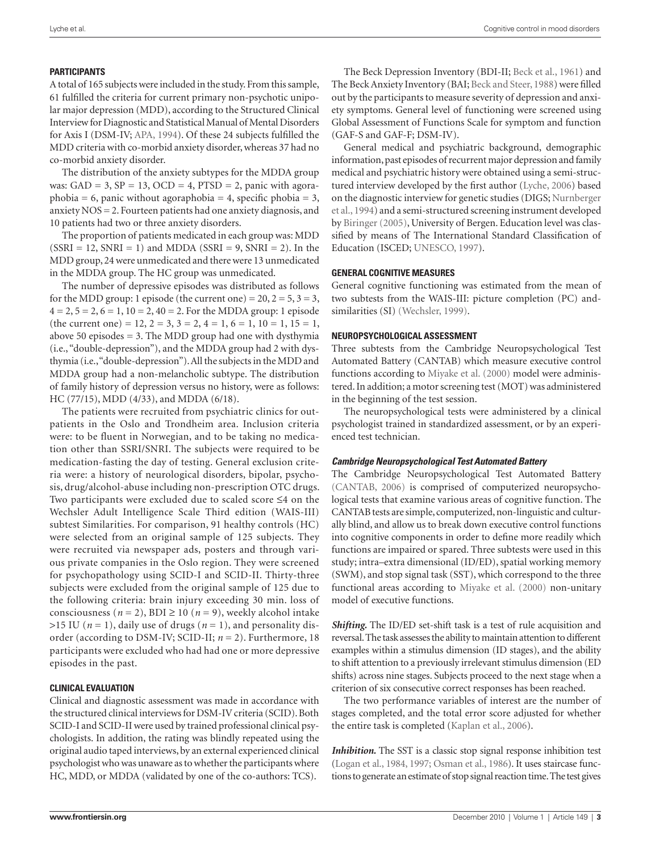## **Participants**

A total of 165 subjects were included in the study. From this sample, 61 fulfilled the criteria for current primary non-psychotic unipolar major depression (MDD), according to the Structured Clinical Interview for Diagnostic and Statistical Manual of Mental Disorders for Axis I (DSM-IV; APA, 1994). Of these 24 subjects fulfilled the MDD criteria with co-morbid anxiety disorder, whereas 37 had no co-morbid anxiety disorder.

The distribution of the anxiety subtypes for the MDDA group was:  $GAD = 3$ ,  $SP = 13$ ,  $OCD = 4$ ,  $PTSD = 2$ , panic with agoraphobia = 6, panic without agoraphobia = 4, specific phobia = 3, anxiety NOS = 2. Fourteen patients had one anxiety diagnosis, and 10 patients had two or three anxiety disorders.

The proportion of patients medicated in each group was: MDD  $(SSRI = 12, SNRI = 1)$  and MDDA  $(SSRI = 9, SNRI = 2)$ . In the MDD group, 24 were unmedicated and there were 13 unmedicated in the MDDA group. The HC group was unmedicated.

The number of depressive episodes was distributed as follows for the MDD group: 1 episode (the current one) =  $20$ ,  $2 = 5$ ,  $3 = 3$ ,  $4 = 2, 5 = 2, 6 = 1, 10 = 2, 40 = 2$ . For the MDDA group: 1 episode (the current one) = 12,  $2 = 3$ ,  $3 = 2$ ,  $4 = 1$ ,  $6 = 1$ ,  $10 = 1$ ,  $15 = 1$ , above 50 episodes  $= 3$ . The MDD group had one with dysthymia (i.e., "double-depression"), and the MDDA group had 2 with dysthymia (i.e., "double-depression"). All the subjects in the MDD and MDDA group had a non-melancholic subtype. The distribution of family history of depression versus no history, were as follows: HC (77/15), MDD (4/33), and MDDA (6/18).

The patients were recruited from psychiatric clinics for outpatients in the Oslo and Trondheim area. Inclusion criteria were: to be fluent in Norwegian, and to be taking no medication other than SSRI/SNRI. The subjects were required to be medication-fasting the day of testing. General exclusion criteria were: a history of neurological disorders, bipolar, psychosis, drug/alcohol-abuse including non-prescription OTC drugs. Two participants were excluded due to scaled score ≤4 on the Wechsler Adult Intelligence Scale Third edition (WAIS-III) subtest Similarities. For comparison, 91 healthy controls (HC) were selected from an original sample of 125 subjects. They were recruited via newspaper ads, posters and through various private companies in the Oslo region. They were screened for psychopathology using SCID-I and SCID-II. Thirty-three subjects were excluded from the original sample of 125 due to the following criteria: brain injury exceeding 30 min. loss of consciousness ( $n = 2$ ), BDI  $\geq 10$  ( $n = 9$ ), weekly alcohol intake >15 IU ( $n = 1$ ), daily use of drugs ( $n = 1$ ), and personality disorder (according to DSM-IV; SCID-II; *n* = 2). Furthermore, 18 participants were excluded who had had one or more depressive episodes in the past.

## **Clinical evaluation**

Clinical and diagnostic assessment was made in accordance with the structured clinical interviews for DSM-IV criteria (SCID). Both SCID-I and SCID-II were used by trained professional clinical psychologists. In addition, the rating was blindly repeated using the original audio taped interviews, by an external experienced clinical psychologist who was unaware as to whether the participants where HC, MDD, or MDDA (validated by one of the co-authors: TCS).

The Beck Depression Inventory (BDI-II; Beck et al., 1961) and The Beck Anxiety Inventory (BAI; Beck and Steer, 1988) were filled out by the participants to measure severity of depression and anxiety symptoms. General level of functioning were screened using Global Assessment of Functions Scale for symptom and function (GAF-S and GAF-F; DSM-IV).

General medical and psychiatric background, demographic information, past episodes of recurrent major depression and family medical and psychiatric history were obtained using a semi-structured interview developed by the first author (Lyche, 2006) based on the diagnostic interview for genetic studies (DIGS; Nurnberger et al., 1994) and a semi-structured screening instrument developed by Biringer (2005), University of Bergen. Education level was classified by means of The International Standard Classification of Education (ISCED; UNESCO, 1997).

#### **General cognitive measures**

General cognitive functioning was estimated from the mean of two subtests from the WAIS-III: picture completion (PC) andsimilarities (SI) (Wechsler, 1999).

#### **Neuropsychological assessment**

Three subtests from the Cambridge Neuropsychological Test Automated Battery (CANTAB) which measure executive control functions according to Miyake et al. (2000) model were administered. In addition; a motor screening test (MOT) was administered in the beginning of the test session.

The neuropsychological tests were administered by a clinical psychologist trained in standardized assessment, or by an experienced test technician.

## *Cambridge Neuropsychological Test Automated Battery*

The Cambridge Neuropsychological Test Automated Battery (CANTAB, 2006) is comprised of computerized neuropsychological tests that examine various areas of cognitive function. The CANTAB tests are simple, computerized, non-linguistic and culturally blind, and allow us to break down executive control functions into cognitive components in order to define more readily which functions are impaired or spared. Three subtests were used in this study; intra–extra dimensional (ID/ED), spatial working memory (SWM), and stop signal task (SST), which correspond to the three functional areas according to Miyake et al. (2000) non-unitary model of executive functions.

*Shifting.* The ID/ED set-shift task is a test of rule acquisition and reversal. The task assesses the ability to maintain attention to different examples within a stimulus dimension (ID stages), and the ability to shift attention to a previously irrelevant stimulus dimension (ED shifts) across nine stages. Subjects proceed to the next stage when a criterion of six consecutive correct responses has been reached.

The two performance variables of interest are the number of stages completed, and the total error score adjusted for whether the entire task is completed (Kaplan et al., 2006).

*Inhibition*. The SST is a classic stop signal response inhibition test (Logan et al., 1984, 1997; Osman et al., 1986). It uses staircase functions to generate an estimate of stop signal reaction time. The test gives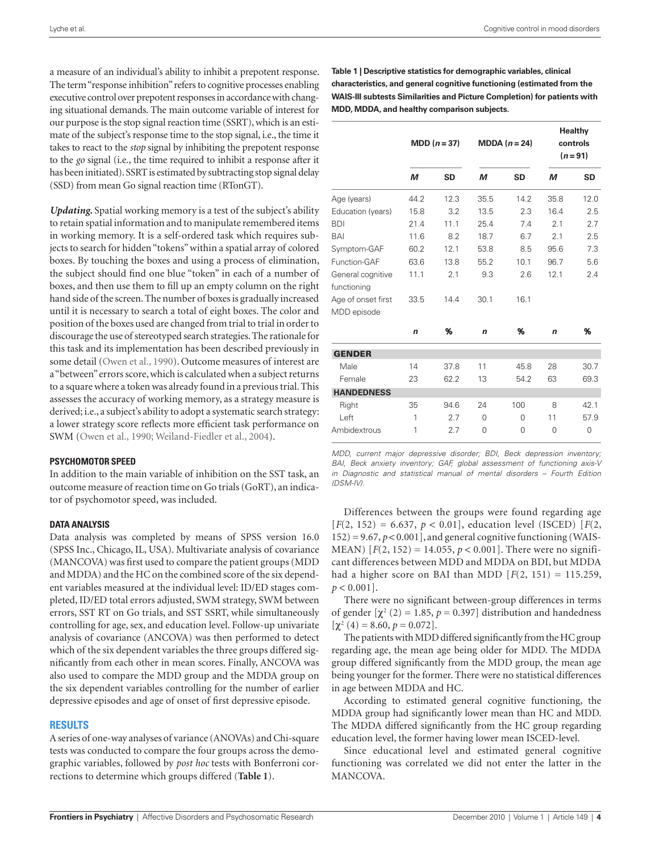a measure of an individual's ability to inhibit a prepotent response. The term "response inhibition" refers to cognitive processes enabling executive control over prepotent responses in accordance with changing situational demands. The main outcome variable of interest for our purpose is the stop signal reaction time (SSRT), which is an estimate of the subject's response time to the stop signal, i.e., the time it takes to react to the *stop* signal by inhibiting the prepotent response to the *go* signal (i.e., the time required to inhibit a response after it has been initiated). SSRT is estimated by subtracting stop signal delay (SSD) from mean Go signal reaction time (RTonGT).

*Updating.* Spatial working memory is a test of the subject's ability to retain spatial information and to manipulate remembered items in working memory. It is a self-ordered task which requires subjects to search for hidden "tokens" within a spatial array of colored boxes. By touching the boxes and using a process of elimination, the subject should find one blue "token" in each of a number of boxes, and then use them to fill up an empty column on the right hand side of the screen. The number of boxes is gradually increased until it is necessary to search a total of eight boxes. The color and position of the boxes used are changed from trial to trial in order to discourage the use of stereotyped search strategies. The rationale for this task and its implementation has been described previously in some detail (Owen et al., 1990). Outcome measures of interest are a "between" errors score, which is calculated when a subject returns to a square where a token was already found in a previous trial. This assesses the accuracy of working memory, as a strategy measure is derived; i.e., a subject's ability to adopt a systematic search strategy: a lower strategy score reflects more efficient task performance on SWM (Owen et al., 1990; Weiland-Fiedler et al., 2004).

#### **Psychomotor Speed**

In addition to the main variable of inhibition on the SST task, an outcome measure of reaction time on Go trials (GoRT), an indicator of psychomotor speed, was included.

#### **Data analysis**

Data analysis was completed by means of SPSS version 16.0 (SPSS Inc., Chicago, IL, USA). Multivariate analysis of covariance (MANCOVA) was first used to compare the patient groups (MDD and MDDA) and the HC on the combined score of the six dependent variables measured at the individual level: ID/ED stages completed, ID/ED total errors adjusted, SWM strategy, SWM between errors, SST RT on Go trials, and SST SSRT, while simultaneously controlling for age, sex, and education level. Follow-up univariate analysis of covariance (ANCOVA) was then performed to detect which of the six dependent variables the three groups differed significantly from each other in mean scores. Finally, ANCOVA was also used to compare the MDD group and the MDDA group on the six dependent variables controlling for the number of earlier depressive episodes and age of onset of first depressive episode.

#### **Results**

A series of one-way analyses of variance (ANOVAs) and Chi-square tests was conducted to compare the four groups across the demographic variables, followed by *post hoc* tests with Bonferroni corrections to determine which groups differed (**Table 1**).

**Table 1 | Descriptive statistics for demographic variables, clinical characteristics, and general cognitive functioning (estimated from the WAIS-III subtests Similarities and Picture Completion) for patients with MDD, MDDA, and healthy comparison subjects.**

|                    | $MDD (n = 37)$ |           |             | MDDA $(n=24)$ | Healthy<br>controls<br>$(n = 91)$ |           |
|--------------------|----------------|-----------|-------------|---------------|-----------------------------------|-----------|
|                    | M              | <b>SD</b> | М           | <b>SD</b>     | M                                 | <b>SD</b> |
| Age (years)        | 44.2           | 12.3      | 35.5        | 14.2          | 35.8                              | 12.0      |
| Education (years)  | 15.8           | 3.2       | 13.5        | 2.3           | 16.4                              | 2.5       |
| <b>BDI</b>         | 21.4           | 11.1      | 25.4        | 7.4           | 2.1                               | 2.7       |
| BAI                | 11.6           | 8.2       | 18.7        | 6.7           | 2.1                               | 2.5       |
| Symptom-GAF        | 60.2           | 12.1      | 53.8        | 8.5           | 95.6                              | 7.3       |
| Function-GAF       | 63.6           | 13.8      | 55.2        | 10.1          | 96.7                              | 5.6       |
| General cognitive  | 11.1           | 2.1       | 9.3         | 2.6           | 12.1                              | 2.4       |
| functioning        |                |           |             |               |                                   |           |
| Age of onset first | 33.5           | 14.4      | 30.1        | 16.1          |                                   |           |
| MDD episode        |                |           |             |               |                                   |           |
|                    | $\mathbf n$    | %         | $\mathbf n$ | %             | $\mathbf n$                       | %         |
| <b>GENDER</b>      |                |           |             |               |                                   |           |
| Male               | 14             | 37.8      | 11          | 45.8          | 28                                | 30.7      |
| Female             | 23             | 62.2      | 13          | 54.2          | 63                                | 69.3      |
| <b>HANDEDNESS</b>  |                |           |             |               |                                   |           |
| Right              | 35             | 94.6      | 24          | 100           | 8                                 | 42.1      |
| Left               | 1              | 2.7       | 0           | $\Omega$      | 11                                | 57.9      |
| Ambidextrous       | 1              | 2.7       | 0           | $\Omega$      | 0                                 | 0         |

*MDD, current major depressive disorder; BDI, Beck depression inventory; BAI, Beck anxiety inventory; GAF, global assessment of functioning axis-V in Diagnostic and statistical manual of mental disorders – Fourth Edition (DSM-IV).*

Differences between the groups were found regarding age  $[F(2, 152) = 6.637, p < 0.01]$ , education level (ISCED)  $[F(2, 152) = 6.637, p < 0.01]$  $152$ ) = 9.67,  $p < 0.001$ ], and general cognitive functioning (WAIS-MEAN)  $[F(2, 152) = 14.055, p < 0.001]$ . There were no significant differences between MDD and MDDA on BDI, but MDDA had a higher score on BAI than MDD  $[F(2, 151) = 115.259,$  $p < 0.001$ ].

There were no significant between-group differences in terms of gender  $[\chi^2(2) = 1.85, p = 0.397]$  distribution and handedness  $[\chi^2(4) = 8.60, p = 0.072].$ 

The patients with MDD differed significantly from the HC group regarding age, the mean age being older for MDD. The MDDA group differed significantly from the MDD group, the mean age being younger for the former. There were no statistical differences in age between MDDA and HC.

According to estimated general cognitive functioning, the MDDA group had significantly lower mean than HC and MDD. The MDDA differed significantly from the HC group regarding education level, the former having lower mean ISCED-level.

Since educational level and estimated general cognitive functioning was correlated we did not enter the latter in the MANCOVA.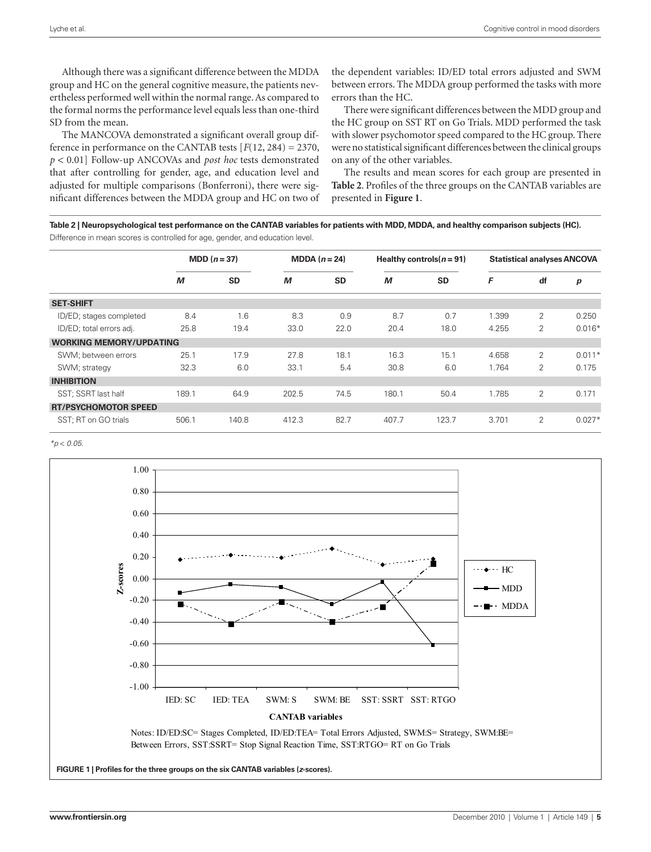Although there was a significant difference between the MDDA group and HC on the general cognitive measure, the patients nevertheless performed well within the normal range. As compared to the formal norms the performance level equals less than one-third SD from the mean.

The MANCOVA demonstrated a significant overall group difference in performance on the CANTAB tests  $F(12, 284) = 2370$ , *p* < 0.01] Follow-up ANCOVAs and *post hoc* tests demonstrated that after controlling for gender, age, and education level and adjusted for multiple comparisons (Bonferroni), there were significant differences between the MDDA group and HC on two of

the dependent variables: ID/ED total errors adjusted and SWM between errors. The MDDA group performed the tasks with more errors than the HC.

There were significant differences between the MDD group and the HC group on SST RT on Go Trials. MDD performed the task with slower psychomotor speed compared to the HC group. There were no statistical significant differences between the clinical groups on any of the other variables.

The results and mean scores for each group are presented in **Table 2**. Profiles of the three groups on the CANTAB variables are presented in **Figure 1**.

**Table 2 | Neuropsychological test performance on the CANTAB variables for patients with MDD, MDDA, and healthy comparison subjects (HC).**  Difference in mean scores is controlled for age, gender, and education level.

|                                | $MDD (n = 37)$ |           | MDDA $(n=24)$ |           | Healthy controls $(n = 91)$ |           | <b>Statistical analyses ANCOVA</b> |                |          |
|--------------------------------|----------------|-----------|---------------|-----------|-----------------------------|-----------|------------------------------------|----------------|----------|
|                                | M              | <b>SD</b> | M             | <b>SD</b> | M                           | <b>SD</b> | F                                  | df             | p        |
| <b>SET-SHIFT</b>               |                |           |               |           |                             |           |                                    |                |          |
| ID/ED; stages completed        | 8.4            | 1.6       | 8.3           | 0.9       | 8.7                         | 0.7       | 1.399                              | $\overline{2}$ | 0.250    |
| ID/ED; total errors adj.       | 25.8           | 19.4      | 33.0          | 22.0      | 20.4                        | 18.0      | 4.255                              | 2              | $0.016*$ |
| <b>WORKING MEMORY/UPDATING</b> |                |           |               |           |                             |           |                                    |                |          |
| SWM; between errors            | 25.1           | 17.9      | 27.8          | 18.1      | 16.3                        | 15.1      | 4.658                              | $\overline{2}$ | $0.011*$ |
| SWM; strategy                  | 32.3           | 6.0       | 33.1          | 5.4       | 30.8                        | 6.0       | 1.764                              | 2              | 0.175    |
| <b>INHIBITION</b>              |                |           |               |           |                             |           |                                    |                |          |
| SST: SSRT last half            | 189.1          | 64.9      | 202.5         | 74.5      | 180.1                       | 50.4      | 1.785                              | 2              | 0.171    |
| <b>RT/PSYCHOMOTOR SPEED</b>    |                |           |               |           |                             |           |                                    |                |          |
| SST; RT on GO trials           | 506.1          | 140.8     | 412.3         | 82.7      | 407.7                       | 123.7     | 3.701                              | 2              | $0.027*$ |

*\*p* < *0.05.*

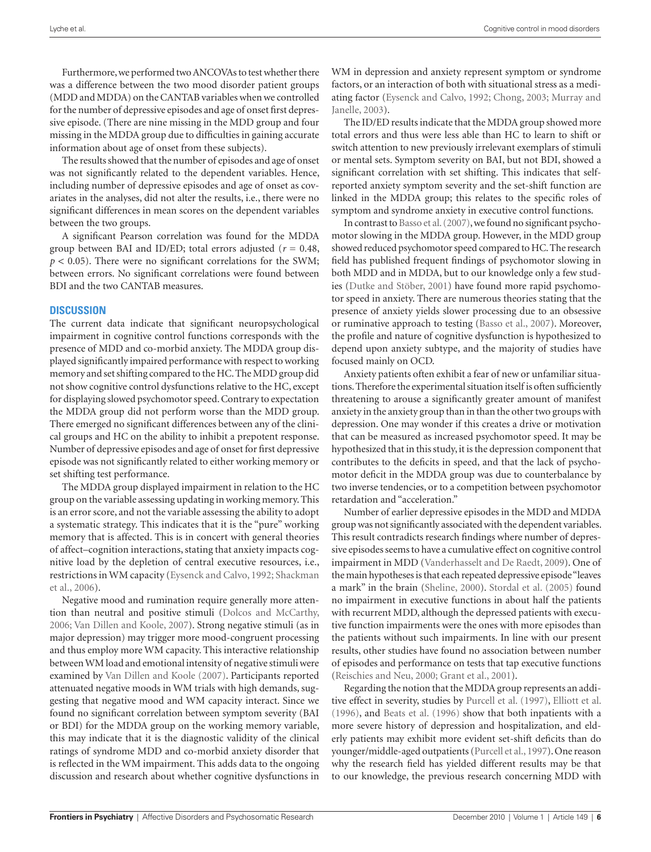Furthermore, we performed two ANCOVAs to test whether there was a difference between the two mood disorder patient groups (MDD and MDDA) on the CANTAB variables when we controlled for the number of depressive episodes and age of onset first depressive episode. (There are nine missing in the MDD group and four missing in the MDDA group due to difficulties in gaining accurate information about age of onset from these subjects).

The results showed that the number of episodes and age of onset was not significantly related to the dependent variables. Hence, including number of depressive episodes and age of onset as covariates in the analyses, did not alter the results, i.e., there were no significant differences in mean scores on the dependent variables between the two groups.

A significant Pearson correlation was found for the MDDA group between BAI and ID/ED; total errors adjusted (*r* = 0.48,  $p < 0.05$ ). There were no significant correlations for the SWM; between errors. No significant correlations were found between BDI and the two CANTAB measures.

#### **Discussion**

The current data indicate that significant neuropsychological impairment in cognitive control functions corresponds with the presence of MDD and co-morbid anxiety. The MDDA group displayed significantly impaired performance with respect to working memory and set shifting compared to the HC. The MDD group did not show cognitive control dysfunctions relative to the HC, except for displaying slowed psychomotor speed. Contrary to expectation the MDDA group did not perform worse than the MDD group. There emerged no significant differences between any of the clinical groups and HC on the ability to inhibit a prepotent response. Number of depressive episodes and age of onset for first depressive episode was not significantly related to either working memory or set shifting test performance.

The MDDA group displayed impairment in relation to the HC group on the variable assessing updating in working memory. This is an error score, and not the variable assessing the ability to adopt a systematic strategy. This indicates that it is the "pure" working memory that is affected. This is in concert with general theories of affect–cognition interactions, stating that anxiety impacts cognitive load by the depletion of central executive resources, i.e., restrictions in WM capacity (Eysenck and Calvo, 1992; Shackman et al., 2006).

Negative mood and rumination require generally more attention than neutral and positive stimuli (Dolcos and McCarthy, 2006; Van Dillen and Koole, 2007). Strong negative stimuli (as in major depression) may trigger more mood-congruent processing and thus employ more WM capacity. This interactive relationship between WM load and emotional intensity of negative stimuli were examined by Van Dillen and Koole (2007). Participants reported attenuated negative moods in WM trials with high demands, suggesting that negative mood and WM capacity interact. Since we found no significant correlation between symptom severity (BAI or BDI) for the MDDA group on the working memory variable, this may indicate that it is the diagnostic validity of the clinical ratings of syndrome MDD and co-morbid anxiety disorder that is reflected in the WM impairment. This adds data to the ongoing discussion and research about whether cognitive dysfunctions in WM in depression and anxiety represent symptom or syndrome factors, or an interaction of both with situational stress as a mediating factor (Eysenck and Calvo, 1992; Chong, 2003; Murray and Janelle, 2003).

The ID/ED results indicate that the MDDA group showed more total errors and thus were less able than HC to learn to shift or switch attention to new previously irrelevant exemplars of stimuli or mental sets. Symptom severity on BAI, but not BDI, showed a significant correlation with set shifting. This indicates that selfreported anxiety symptom severity and the set-shift function are linked in the MDDA group; this relates to the specific roles of symptom and syndrome anxiety in executive control functions.

In contrast to Basso et al. (2007), we found no significant psychomotor slowing in the MDDA group. However, in the MDD group showed reduced psychomotor speed compared to HC. The research field has published frequent findings of psychomotor slowing in both MDD and in MDDA, but to our knowledge only a few studies (Dutke and Stöber, 2001) have found more rapid psychomotor speed in anxiety. There are numerous theories stating that the presence of anxiety yields slower processing due to an obsessive or ruminative approach to testing (Basso et al., 2007). Moreover, the profile and nature of cognitive dysfunction is hypothesized to depend upon anxiety subtype, and the majority of studies have focused mainly on OCD.

Anxiety patients often exhibit a fear of new or unfamiliar situations. Therefore the experimental situation itself is often sufficiently threatening to arouse a significantly greater amount of manifest anxiety in the anxiety group than in than the other two groups with depression. One may wonder if this creates a drive or motivation that can be measured as increased psychomotor speed. It may be hypothesized that in this study, it is the depression component that contributes to the deficits in speed, and that the lack of psychomotor deficit in the MDDA group was due to counterbalance by two inverse tendencies, or to a competition between psychomotor retardation and "acceleration."

Number of earlier depressive episodes in the MDD and MDDA group was not significantly associated with the dependent variables. This result contradicts research findings where number of depressive episodes seems to have a cumulative effect on cognitive control impairment in MDD (Vanderhasselt and De Raedt, 2009). One of the main hypotheses is that each repeated depressive episode "leaves a mark" in the brain (Sheline, 2000). Stordal et al. (2005) found no impairment in executive functions in about half the patients with recurrent MDD, although the depressed patients with executive function impairments were the ones with more episodes than the patients without such impairments. In line with our present results, other studies have found no association between number of episodes and performance on tests that tap executive functions (Reischies and Neu, 2000; Grant et al., 2001).

Regarding the notion that the MDDA group represents an additive effect in severity, studies by Purcell et al. (1997), Elliott et al. (1996), and Beats et al. (1996) show that both inpatients with a more severe history of depression and hospitalization, and elderly patients may exhibit more evident set-shift deficits than do younger/middle-aged outpatients (Purcell et al., 1997). One reason why the research field has yielded different results may be that to our knowledge, the previous research concerning MDD with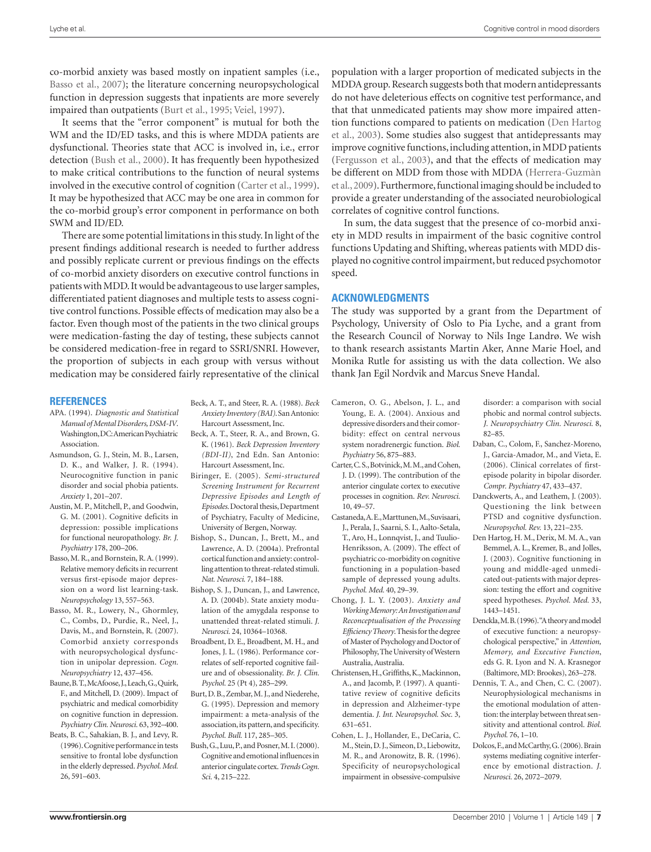co-morbid anxiety was based mostly on inpatient samples (i.e., Basso et al., 2007); the literature concerning neuropsychological function in depression suggests that inpatients are more severely impaired than outpatients (Burt et al., 1995; Veiel, 1997).

It seems that the "error component" is mutual for both the WM and the ID/ED tasks, and this is where MDDA patients are dysfunctional. Theories state that ACC is involved in, i.e., error detection (Bush et al., 2000). It has frequently been hypothesized to make critical contributions to the function of neural systems involved in the executive control of cognition (Carter et al., 1999). It may be hypothesized that ACC may be one area in common for the co-morbid group's error component in performance on both SWM and ID/ED.

There are some potential limitations in this study. In light of the present findings additional research is needed to further address and possibly replicate current or previous findings on the effects of co-morbid anxiety disorders on executive control functions in patients with MDD. It would be advantageous to use larger samples, differentiated patient diagnoses and multiple tests to assess cognitive control functions. Possible effects of medication may also be a factor. Even though most of the patients in the two clinical groups were medication-fasting the day of testing, these subjects cannot be considered medication-free in regard to SSRI/SNRI. However, the proportion of subjects in each group with versus without medication may be considered fairly representative of the clinical

#### **References**

- APA. (1994). *Diagnostic and Statistical Manual of Mental Disorders, DSM-IV*. Washington, DC: American Psychiatric Association.
- Asmundson, G. J., Stein, M. B., Larsen, D. K., and Walker, J. R. (1994). Neurocognitive function in panic disorder and social phobia patients. *Anxiety* 1, 201–207.
- Austin, M. P., Mitchell, P., and Goodwin, G. M. (2001). Cognitive deficits in depression: possible implications for functional neuropathology. *Br. J. Psychiatry* 178, 200–206.
- Basso, M. R., and Bornstein, R. A. (1999). Relative memory deficits in recurrent versus first-episode major depression on a word list learning-task. *Neuropsychology* 13, 557–563.
- Basso, M. R., Lowery, N., Ghormley, C., Combs, D., Purdie, R., Neel, J., Davis, M., and Bornstein, R. (2007). Comorbid anxiety corresponds with neuropsychological dysfunction in unipolar depression. *Cogn. Neuropsychiatry* 12, 437–456.
- Baune, B. T., McAfoose, J., Leach, G., Quirk, F., and Mitchell, D. (2009). Impact of psychiatric and medical comorbidity on cognitive function in depression. *Psychiatry Clin. Neurosci.* 63, 392–400.
- Beats, B. C., Sahakian, B. J., and Levy, R. (1996). Cognitive performance in tests sensitive to frontal lobe dysfunction in the elderly depressed. *Psychol. Med.* 26, 591–603.
- Beck, A. T., and Steer, R. A. (1988). *Beck Anxiety Inventory (BAI)*. San Antonio: Harcourt Assessment, Inc.
- Beck, A. T., Steer, R. A., and Brown, G. K. (1961). *Beck Depression Inventory (BDI-II)*, 2nd Edn. San Antonio: Harcourt Assessment, Inc.
- Biringer, E. (2005). *Semi-structured Screening Instrument for Recurrent Depressive Episodes and Length of Episodes*. Doctoral thesis, Department of Psychiatry, Faculty of Medicine, University of Bergen, Norway.
- Bishop, S., Duncan, J., Brett, M., and Lawrence, A. D. (2004a). Prefrontal cortical function and anxiety: controlling attention to threat-related stimuli. *Nat. Neurosci.* 7, 184–188.
- Bishop, S. J., Duncan, J., and Lawrence, A. D. (2004b). State anxiety modulation of the amygdala response to unattended threat-related stimuli. *J. Neurosci.* 24, 10364–10368.
- Broadbent, D. E., Broadbent, M. H., and Jones, J. L. (1986). Performance correlates of self-reported cognitive failure and of obsessionality. *Br. J. Clin. Psychol.* 25 (Pt 4), 285–299.
- Burt, D. B., Zembar, M. J., and Niederehe, G. (1995). Depression and memory impairment: a meta-analysis of the association, its pattern, and specificity. *Psychol. Bull.* 117, 285–305.
- Bush, G., Luu, P., and Posner, M. I. (2000). Cognitive and emotional influences in anterior cingulate cortex. *Trends Cogn. Sci.* 4, 215–222.

population with a larger proportion of medicated subjects in the MDDA group. Research suggests both that modern antidepressants do not have deleterious effects on cognitive test performance, and that that unmedicated patients may show more impaired attention functions compared to patients on medication (Den Hartog et al., 2003). Some studies also suggest that antidepressants may improve cognitive functions, including attention, in MDD patients (Fergusson et al., 2003), and that the effects of medication may be different on MDD from those with MDDA (Herrera-Guzmàn et al., 2009). Furthermore, functional imaging should be included to provide a greater understanding of the associated neurobiological correlates of cognitive control functions.

In sum, the data suggest that the presence of co-morbid anxiety in MDD results in impairment of the basic cognitive control functions Updating and Shifting, whereas patients with MDD displayed no cognitive control impairment, but reduced psychomotor speed.

#### **Acknowledgments**

The study was supported by a grant from the Department of Psychology, University of Oslo to Pia Lyche, and a grant from the Research Council of Norway to Nils Inge Landrø. We wish to thank research assistants Martin Aker, Anne Marie Hoel, and Monika Rutle for assisting us with the data collection. We also thank Jan Egil Nordvik and Marcus Sneve Handal.

- Cameron, O. G., Abelson, J. L., and Young, E. A. (2004). Anxious and depressive disorders and their comorbidity: effect on central nervous system noradrenergic function. *Biol. Psychiatry* 56, 875–883.
- Carter, C. S., Botvinick, M. M., and Cohen, J. D. (1999). The contribution of the anterior cingulate cortex to executive processes in cognition. *Rev. Neurosci.*  10, 49–57.
- Castaneda, A. E., Marttunen, M., Suvisaari, J., Perala, J., Saarni, S. I., Aalto-Setala, T., Aro, H., Lonnqvist, J., and Tuulio-Henriksson, A. (2009). The effect of psychiatric co-morbidity on cognitive functioning in a population-based sample of depressed young adults. *Psychol. Med.* 40, 29–39.
- Chong, J. L. Y. (2003). *Anxiety and Working Memory: An Investigation and Reconceptualisation of the Processing Efficiency Theory*. Thesis for the degree of Master of Psychology and Doctor of Philosophy, The University of Western Australia, Australia.
- Christensen, H., Griffiths, K., Mackinnon, A., and Jacomb, P. (1997). A quantitative review of cognitive deficits in depression and Alzheimer-type dementia. *J. Int. Neuropsychol. Soc.* 3, 631–651.
- Cohen, L. J., Hollander, E., DeCaria, C. M., Stein, D. J., Simeon, D., Liebowitz, M. R., and Aronowitz, B. R. (1996). Specificity of neuropsychological impairment in obsessive-compulsive

disorder: a comparison with social phobic and normal control subjects. *J. Neuropsychiatry Clin. Neurosci.* 8, 82–85.

- Daban, C., Colom, F., Sanchez-Moreno, J., Garcia-Amador, M., and Vieta, E. (2006). Clinical correlates of firstepisode polarity in bipolar disorder. *Compr. Psychiatry* 47, 433–437.
- Danckwerts, A., and Leathem, J. (2003). Questioning the link between PTSD and cognitive dysfunction. *Neuropsychol. Rev.* 13, 221–235.
- Den Hartog, H. M., Derix, M. M. A., van Bemmel, A. L., Kremer, B., and Jolles, J. (2003). Cognitive functioning in young and middle-aged unmedicated out-patients with major depression: testing the effort and cognitive speed hypotheses. *Psychol. Med.* 33, 1443–1451.
- Denckla, M. B. (1996). "A theory and model of executive function: a neuropsychological perspective," in *Attention, Memory, and Executive Function*, eds G. R. Lyon and N. A. Krasnegor (Baltimore, MD: Brookes), 263–278.
- Dennis, T. A., and Chen, C. C. (2007). Neurophysiological mechanisms in the emotional modulation of attention: the interplay between threat sensitivity and attentional control. *Biol. Psychol.* 76, 1–10.
- Dolcos, F., and McCarthy, G. (2006). Brain systems mediating cognitive interference by emotional distraction. *J. Neurosci.* 26, 2072–2079.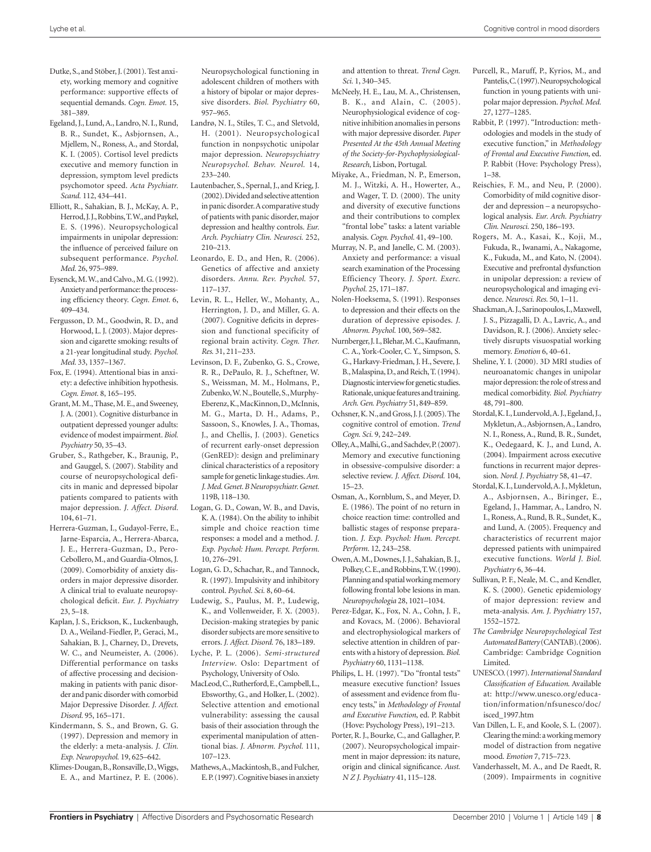- Dutke, S., and Stöber, J. (2001). Test anxiety, working memory and cognitive performance: supportive effects of sequential demands. *Cogn. Emot.* 15, 381–389.
- Egeland, J., Lund, A., Landro, N. I., Rund, B. R., Sundet, K., Asbjornsen, A., Mjellem, N., Roness, A., and Stordal, K. I. (2005). Cortisol level predicts executive and memory function in depression, symptom level predicts psychomotor speed. *Acta Psychiatr. Scand.* 112, 434–441.
- Elliott, R., Sahakian, B. J., McKay, A. P., Herrod, J. J., Robbins, T. W., and Paykel, E. S. (1996). Neuropsychological impairments in unipolar depression: the influence of perceived failure on subsequent performance. *Psychol. Med.* 26, 975–989.
- Eysenck, M. W., and Calvo., M. G. (1992). Anxiety and performance: the processing efficiency theory. *Cogn. Emot.* 6, 409–434.
- Fergusson, D. M., Goodwin, R. D., and Horwood, L. J. (2003). Major depression and cigarette smoking: results of a 21-year longitudinal study. *Psychol. Med.* 33, 1357–1367.
- Fox, E. (1994). Attentional bias in anxiety: a defective inhibition hypothesis. *Cogn. Emot.* 8, 165–195.
- Grant, M. M., Thase, M. E., and Sweeney, J. A. (2001). Cognitive disturbance in outpatient depressed younger adults: evidence of modest impairment. *Biol. Psychiatry* 50, 35–43.
- Gruber, S., Rathgeber, K., Braunig, P., and Gauggel, S. (2007). Stability and course of neuropsychological deficits in manic and depressed bipolar patients compared to patients with major depression. *J. Affect. Disord.*  104, 61–71.
- Herrera-Guzman, I., Gudayol-Ferre, E., Jarne-Esparcia, A., Herrera-Abarca, J. E., Herrera-Guzman, D., Pero-Cebollero, M., and Guardia-Olmos, J. (2009). Comorbidity of anxiety disorders in major depressive disorder. A clinical trial to evaluate neuropsychological deficit. *Eur. J. Psychiatry* 23, 5–18.
- Kaplan, J. S., Erickson, K., Luckenbaugh, D. A., Weiland-Fiedler, P., Geraci, M., Sahakian, B. J., Charney, D., Drevets, W. C., and Neumeister, A. (2006). Differential performance on tasks of affective processing and decisionmaking in patients with panic disorder and panic disorder with comorbid Major Depressive Disorder. *J. Affect. Disord.* 95, 165–171.
- Kindermann, S. S., and Brown, G. G. (1997). Depression and memory in the elderly: a meta-analysis. *J. Clin. Exp. Neuropsychol.* 19, 625–642.
- Klimes-Dougan, B., Ronsaville, D., Wiggs, E. A., and Martinez, P. E. (2006).

Neuropsychological functioning in adolescent children of mothers with a history of bipolar or major depressive disorders. *Biol. Psychiatry* 60, 957–965.

- Landrø, N. I., Stiles, T. C., and Sletvold, H. (2001). Neuropsychological function in nonpsychotic unipolar major depression. *Neuropsychiatry Neuropsychol. Behav. Neurol.* 14, 233–240.
- Lautenbacher, S., Spernal, J., and Krieg, J. (2002). Divided and selective attention in panic disorder. A comparative study of patients with panic disorder, major depression and healthy controls. *Eur. Arch. Psychiatry Clin. Neurosci.* 252, 210–213.
- Leonardo, E. D., and Hen, R. (2006). Genetics of affective and anxiety disorders. *Annu. Rev. Psychol.* 57, 117–137.
- Levin, R. L., Heller, W., Mohanty, A., Herrington, J. D., and Miller, G. A. (2007). Cognitive deficits in depression and functional specificity of regional brain activity. *Cogn. Ther. Res.* 31, 211–233.
- Levinson, D. F., Zubenko, G. S., Crowe, R. R., DePaulo, R. J., Scheftner, W. S., Weissman, M. M., Holmans, P., Zubenko, W. N., Boutelle, S., Murphy-Eberenz, K., MacKinnon, D., McInnis, M. G., Marta, D. H., Adams, P., Sassoon, S., Knowles, J. A., Thomas, J., and Chellis, J. (2003). Genetics of recurrent early-onset depression (GenRED): design and preliminary clinical characteristics of a repository sample for genetic linkage studies. *Am. J. Med. Genet. B Neuropsychiatr. Genet.*  119B, 118–130.
- Logan, G. D., Cowan, W. B., and Davis, K. A. (1984). On the ability to inhibit simple and choice reaction time responses: a model and a method. *J. Exp. Psychol: Hum. Percept. Perform.*  10, 276–291.
- Logan, G. D., Schachar, R., and Tannock, R. (1997). Impulsivity and inhibitory control. *Psychol. Sci.* 8, 60–64.
- Ludewig, S., Paulus, M. P., Ludewig, K., and Vollenweider, F. X. (2003). Decision-making strategies by panic disorder subjects are more sensitive to errors. *J. Affect. Disord.* 76, 183–189.
- Lyche, P. L. (2006). *Semi-structured Interview*. Oslo: Department of Psychology, University of Oslo.
- MacLeod, C., Rutherford, E., Campbell, L., Ebsworthy, G., and Holker, L. (2002). Selective attention and emotional vulnerability: assessing the causal basis of their association through the experimental manipulation of attentional bias. *J. Abnorm. Psychol.* 111, 107–123.
- Mathews, A., Mackintosh, B., and Fulcher, E. P. (1997). Cognitive biases in anxiety

and attention to threat. *Trend Cogn. Sci.* 1, 340–345.

- McNeely, H. E., Lau, M. A., Christensen, B. K., and Alain, C. (2005). Neurophysiological evidence of cognitive inhibition anomalies in persons with major depressive disorder. *Paper Presented At the 45th Annual Meeting of the Society-for-Psychophysiological-Research*, Lisbon, Portugal.
- Miyake, A., Friedman, N. P., Emerson, M. J., Witzki, A. H., Howerter, A., and Wager, T. D. (2000). The unity and diversity of executive functions and their contributions to complex "frontal lobe" tasks: a latent variable analysis. *Cogn. Psychol.* 41, 49–100.
- Murray, N. P., and Janelle, C. M. (2003). Anxiety and performance: a visual search examination of the Processing Efficiency Theory. *J. Sport. Exerc. Psychol.* 25, 171–187.
- Nolen-Hoeksema, S. (1991). Responses to depression and their effects on the duration of depressive episodes. *J. Abnorm. Psychol.* 100, 569–582.
- Nurnberger, J. I., Blehar, M. C., Kaufmann, C. A., York-Cooler, C. Y., Simpson, S. G., Harkavy-Friedman, J. H., Severe, J. B., Malaspina, D., and Reich, T. (1994). Diagnostic interview for genetic studies. Rationale, unique features and training. *Arch. Gen. Psychiatry* 51, 849–859.
- Ochsner, K. N., and Gross, J. J. (2005). The cognitive control of emotion. *Trend Cogn. Sci.* 9, 242–249.
- Olley, A., Malhi, G., and Sachdev, P. (2007). Memory and executive functioning in obsessive-compulsive disorder: a selective review. *J. Affect. Disord.* 104, 15–23.
- Osman, A., Kornblum, S., and Meyer, D. E. (1986). The point of no return in choice reaction time: controlled and ballistic stages of response preparation. *J. Exp. Psychol: Hum. Percept. Perform.* 12, 243–258.
- Owen, A. M., Downes, J. J., Sahakian, B. J., Polkey, C. E., and Robbins, T. W. (1990). Planning and spatial working memory following frontal lobe lesions in man. *Neuropsychologia* 28, 1021–1034.
- Perez-Edgar, K., Fox, N. A., Cohn, J. F., and Kovacs, M. (2006). Behavioral and electrophysiological markers of selective attention in children of parents with a history of depression. *Biol. Psychiatry* 60, 1131–1138.
- Philips, L. H. (1997). "Do "frontal tests" measure executive function? Issues of assessment and evidence from fluency tests," in *Methodology of Frontal and Executive Function*, ed. P. Rabbit (Hove: Psychology Press), 191–213.
- Porter, R. J., Bourke, C., and Gallagher, P. (2007). Neuropsychological impairment in major depression: its nature, origin and clinical significance. *Aust. N Z J. Psychiatry* 41, 115–128.
- Purcell, R., Maruff, P., Kyrios, M., and Pantelis, C. (1997). Neuropsychological function in young patients with unipolar major depression. *Psychol. Med.*  27, 1277–1285.
- Rabbit, P. (1997). "Introduction: methodologies and models in the study of executive function," in *Methodology of Frontal and Executive Function*, ed. P. Rabbit (Hove: Psychology Press), 1–38.
- Reischies, F. M., and Neu, P. (2000). Comorbidity of mild cognitive disorder and depression – a neuropsychological analysis. *Eur. Arch. Psychiatry Clin. Neurosci.* 250, 186–193.
- Rogers, M. A., Kasai, K., Koji, M., Fukuda, R., Iwanami, A., Nakagome, K., Fukuda, M., and Kato, N. (2004). Executive and prefrontal dysfunction in unipolar depression: a review of neuropsychological and imaging evidence. *Neurosci. Res.* 50, 1–11.
- Shackman, A. J., Sarinopoulos, I., Maxwell, J. S., Pizzagalli, D. A., Lavric, A., and Davidson, R. J. (2006). Anxiety selectively disrupts visuospatial working memory. *Emotion* 6, 40–61.
- Sheline, Y. I. (2000). 3D MRI studies of neuroanatomic changes in unipolar major depression: the role of stress and medical comorbidity. *Biol. Psychiatry*  48, 791–800.
- Stordal, K. I., Lundervold, A. J., Egeland, J., Mykletun, A., Asbjornsen, A., Landro, N. I., Roness, A., Rund, B. R., Sundet, K., Oedegaard, K. J., and Lund, A. (2004). Impairment across executive functions in recurrent major depression. *Nord. J. Psychiatry* 58, 41–47.
- Stordal, K. I., Lundervold, A. J., Mykletun, A., Asbjornsen, A., Biringer, E., Egeland, J., Hammar, A., Landro, N. I., Roness, A., Rund, B. R., Sundet, K., and Lund, A. (2005). Frequency and characteristics of recurrent major depressed patients with unimpaired executive functions. *World J. Biol. Psychiatry* 6, 36–44.
- Sullivan, P. F., Neale, M. C., and Kendler, K. S. (2000). Genetic epidemiology of major depression: review and meta-analysis. *Am. J. Psychiatry* 157, 1552–1572.
- *The Cambridge Neuropsychological Test Automated Battery* (CANTAB). (2006). Cambridge: Cambridge Cognition Limited.
- UNESCO. (1997). *International Standard Classification of Education*. Available at: http://www.unesco.org/education/information/nfsunesco/doc/ isced\_1997.htm
- Van Dillen, L. F., and Koole, S. L. (2007). Clearing the mind: a working memory model of distraction from negative mood. *Emotion* 7, 715–723.
- Vanderhasselt, M. A., and De Raedt, R. (2009). Impairments in cognitive